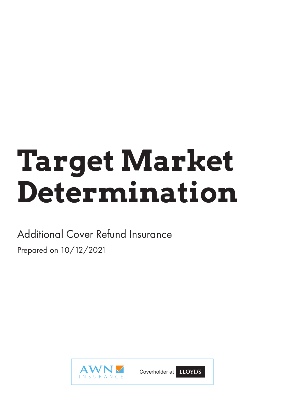# **Target Market Determination**

# Additional Cover Refund Insurance Prepared on 10/12/2021



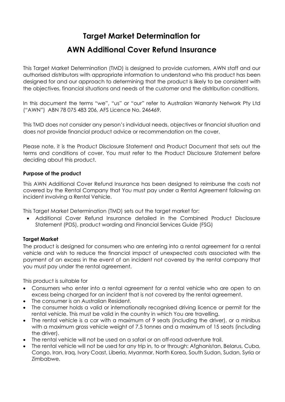### **Target Market Determination for**

## **AWN Additional Cover Refund Insurance**

This Target Market Determination (TMD) is designed to provide customers, AWN staff and our authorised distributors with appropriate information to understand who this product has been designed for and our approach to determining that the product is likely to be consistent with the objectives, financial situations and needs of the customer and the distribution conditions.

In this document the terms "we", "us" or "our" refer to Australian Warranty Network Pty Ltd ("AWN") ABN 78 075 483 206, AFS Licence No. 246469.

This TMD does not consider any person's individual needs, objectives or financial situation and does not provide financial product advice or recommendation on the cover.

Please note, it is the Product Disclosure Statement and Product Document that sets out the terms and conditions of cover. You must refer to the Product Disclosure Statement before deciding about this product.

#### **Purpose of the product**

This AWN Additional Cover Refund Insurance has been designed to reimburse the costs not covered by the Rental Company that You must pay under a Rental Agreement following an incident involving a Rental Vehicle.

This Target Market Determination (TMD) sets out the target market for:

• Additional Cover Refund Insurance detailed in the Combined Product Disclosure Statement (PDS), product wording and Financial Services Guide (FSG)

#### **Target Market**

The product is designed for consumers who are entering into a rental agreement for a rental vehicle and wish to reduce the financial impact of unexpected costs associated with the payment of an excess in the event of an incident not covered by the rental company that you must pay under the rental agreement.

This product is suitable for

- Consumers who enter into a rental agreement for a rental vehicle who are open to an excess being charged for an incident that is not covered by the rental agreement.
- The consumer is an Australian Resident.
- The consumer holds a valid or internationally recognised driving licence or permit for the rental vehicle. This must be valid in the country in which You are travelling.
- The rental vehicle is a car with a maximum of 9 seats (including the driver), or a minibus with a maximum gross vehicle weight of 7.5 tonnes and a maximum of 15 seats (including the driver).
- The rental vehicle will not be used on a safari or an off-road adventure trail.
- The rental vehicle will not be used for any trip in, to or through: Afghanistan, Belarus, Cuba, Congo, Iran, Iraq, Ivory Coast, Liberia, Myanmar, North Korea, South Sudan, Sudan, Syria or Zimbabwe.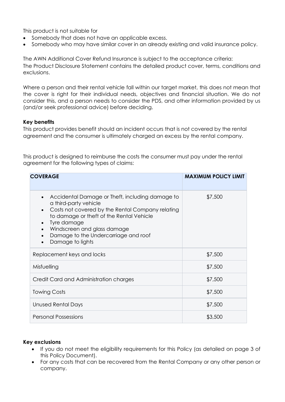This product is not suitable for

- Somebody that does not have an applicable excess.
- Somebody who may have similar cover in an already existing and valid insurance policy.

The AWN Additional Cover Refund Insurance is subject to the acceptance criteria: The Product Disclosure Statement contains the detailed product cover, terms, conditions and exclusions.

Where a person and their rental vehicle fall within our target market, this does not mean that the cover is right for their individual needs, objectives and financial situation. We do not consider this, and a person needs to consider the PDS, and other information provided by us (and/or seek professional advice) before deciding.

#### **Key benefits**

This product provides benefit should an incident occurs that is not covered by the rental agreement and the consumer is ultimately charged an excess by the rental company.

This product is designed to reimburse the costs the consumer must pay under the rental agreement for the following types of claims:

| <b>COVERAGE</b>                                                                                                                                                                                                                                                                    | <b>MAXIMUM POLICY LIMIT</b> |
|------------------------------------------------------------------------------------------------------------------------------------------------------------------------------------------------------------------------------------------------------------------------------------|-----------------------------|
| Accidental Damage or Theft, including damage to<br>a third-party vehicle<br>Costs not covered by the Rental Company relating<br>to damage or theft of the Rental Vehicle<br>Tyre damage<br>Windscreen and glass damage<br>Damage to the Undercarriage and roof<br>Damage to lights | \$7,500                     |
| Replacement keys and locks                                                                                                                                                                                                                                                         | \$7,500                     |
| Misfuelling                                                                                                                                                                                                                                                                        | \$7,500                     |
| Credit Card and Administration charges                                                                                                                                                                                                                                             | \$7,500                     |
| <b>Towing Costs</b>                                                                                                                                                                                                                                                                | \$7,500                     |
| Unused Rental Days                                                                                                                                                                                                                                                                 | \$7,500                     |
| <b>Personal Possessions</b>                                                                                                                                                                                                                                                        | \$3,500                     |

#### **Key exclusions**

- If you do not meet the eligibility requirements for this Policy (as detailed on page 3 of this Policy Document).
- For any costs that can be recovered from the Rental Company or any other person or company.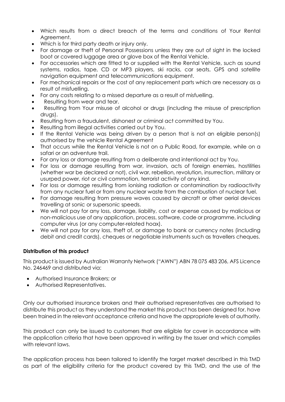- Which results from a direct breach of the terms and conditions of Your Rental Agreement.
- Which is for third party death or injury only.
- For damage or theft of Personal Possessions unless they are out of sight in the locked boot or covered luggage area or glove box of the Rental Vehicle.
- For accessories which are fitted to or supplied with the Rental Vehicle, such as sound systems, radios, tape, CD or MP3 players, ski racks, car seats, GPS and satellite navigation equipment and telecommunications equipment.
- For mechanical repairs or the cost of any replacement parts which are necessary as a result of misfuelling.
- For any costs relating to a missed departure as a result of misfuelling.
- Resulting from wear and tear.
- Resulting from Your misuse of alcohol or drugs (including the misuse of prescription drugs).
- Resulting from a fraudulent, dishonest or criminal act committed by You.
- Resulting from illegal activities carried out by You.
- If the Rental Vehicle was being driven by a person that is not an eligible person(s) authorised by the vehicle Rental Agreement
- That occurs while the Rental Vehicle is not on a Public Road, for example, while on a safari or an adventure trail.
- For any loss or damage resulting from a deliberate and intentional act by You.
- For loss or damage resulting from war, invasion, acts of foreign enemies, hostilities (whether war be declared or not), civil war, rebellion, revolution, insurrection, military or usurped power, riot or civil commotion, terrorist activity of any kind.
- For loss or damage resulting from ionising radiation or contamination by radioactivity from any nuclear fuel or from any nuclear waste from the combustion of nuclear fuel.
- For damage resulting from pressure waves caused by aircraft or other aerial devices travelling at sonic or supersonic speeds.
- We will not pay for any loss, damage, liability, cost or expense caused by malicious or non-malicious use of any application, process, software, code or programme, including computer virus (or any computer-related hoax).
- We will not pay for any loss, theft of, or damage to bank or currency notes (including debit and credit cards), cheques or negotiable instruments such as travellers cheques.

#### **Distribution of this product**

This product is issued by Australian Warranty Network ("AWN") ABN 78 075 483 206, AFS Licence No. 246469 and distributed via:

- Authorised Insurance Brokers; or
- Authorised Representatives.

Only our authorised insurance brokers and their authorised representatives are authorised to distribute this product as they understand the market this product has been designed for, have been trained in the relevant acceptance criteria and have the appropriate levels of authority.

This product can only be issued to customers that are eligible for cover in accordance with the application criteria that have been approved in writing by the Issuer and which complies with relevant laws.

The application process has been tailored to identify the target market described in this TMD as part of the eligibility criteria for the product covered by this TMD, and the use of the